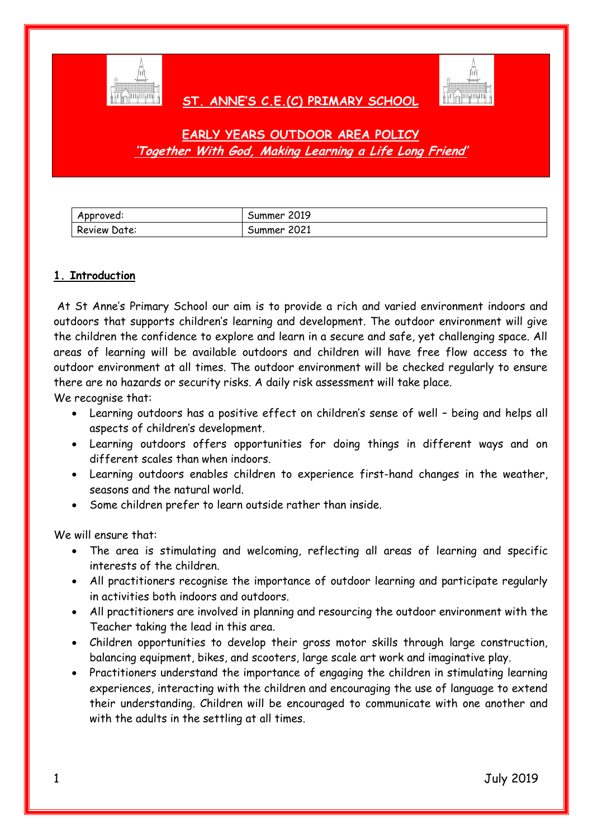

### **ST. ANNE'S C.E.(C) PRIMARY SCHOOL**



## **EARLY YEARS OUTDOOR AREA POLICY 'Together With God, Making Learning a Life Long Friend'**

| Approved:    | 2019<br>Summer |
|--------------|----------------|
| Review Date: | 2021<br>oummer |

#### **1. Introduction**

At St Anne's Primary School our aim is to provide a rich and varied environment indoors and outdoors that supports children's learning and development. The outdoor environment will give the children the confidence to explore and learn in a secure and safe, yet challenging space. All areas of learning will be available outdoors and children will have free flow access to the outdoor environment at all times. The outdoor environment will be checked regularly to ensure there are no hazards or security risks. A daily risk assessment will take place.

We recognise that:

- Learning outdoors has a positive effect on children's sense of well being and helps all aspects of children's development.
- Learning outdoors offers opportunities for doing things in different ways and on different scales than when indoors.
- Learning outdoors enables children to experience first-hand changes in the weather, seasons and the natural world.
- Some children prefer to learn outside rather than inside.

We will ensure that:

- The area is stimulating and welcoming, reflecting all areas of learning and specific interests of the children.
- All practitioners recognise the importance of outdoor learning and participate regularly in activities both indoors and outdoors.
- All practitioners are involved in planning and resourcing the outdoor environment with the Teacher taking the lead in this area.
- Children opportunities to develop their gross motor skills through large construction, balancing equipment, bikes, and scooters, large scale art work and imaginative play.
- Practitioners understand the importance of engaging the children in stimulating learning experiences, interacting with the children and encouraging the use of language to extend their understanding. Children will be encouraged to communicate with one another and with the adults in the settling at all times.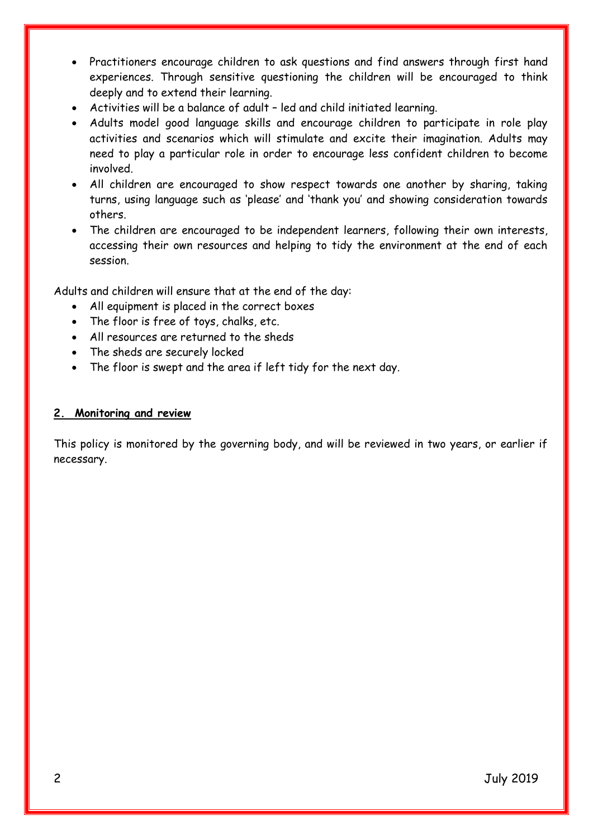- Practitioners encourage children to ask questions and find answers through first hand experiences. Through sensitive questioning the children will be encouraged to think deeply and to extend their learning.
- Activities will be a balance of adult led and child initiated learning.
- Adults model good language skills and encourage children to participate in role play activities and scenarios which will stimulate and excite their imagination. Adults may need to play a particular role in order to encourage less confident children to become involved.
- All children are encouraged to show respect towards one another by sharing, taking turns, using language such as 'please' and 'thank you' and showing consideration towards others.
- The children are encouraged to be independent learners, following their own interests, accessing their own resources and helping to tidy the environment at the end of each session.

Adults and children will ensure that at the end of the day:

- All equipment is placed in the correct boxes
- The floor is free of toys, chalks, etc.
- All resources are returned to the sheds
- The sheds are securely locked
- The floor is swept and the area if left tidy for the next day.

#### **2. Monitoring and review**

This policy is monitored by the governing body, and will be reviewed in two years, or earlier if necessary.